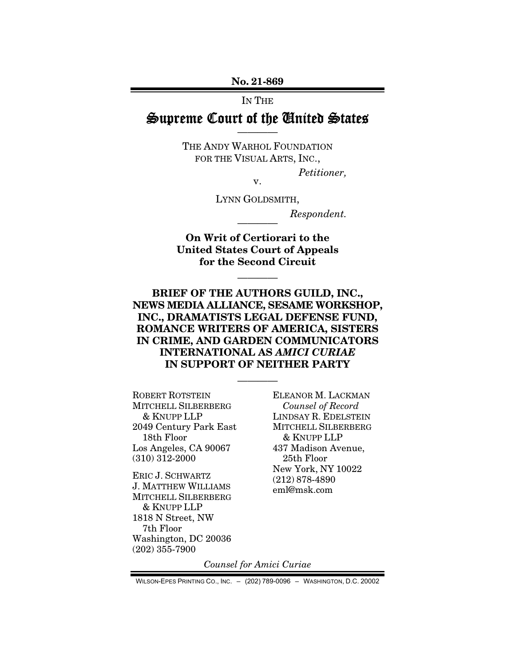No. 21-869

IN THE

## Supreme Court of the United States ————

THE ANDY WARHOL FOUNDATION FOR THE VISUAL ARTS, INC.,

*Petitioner,* 

v.

LYNN GOLDSMITH,

 $Respondent.$ 

On Writ of Certiorari to the United States Court of Appeals for the Second Circuit

————

BRIEF OF THE AUTHORS GUILD, INC., NEWS MEDIA ALLIANCE, SESAME WORKSHOP, INC., DRAMATISTS LEGAL DEFENSE FUND, ROMANCE WRITERS OF AMERICA, SISTERS IN CRIME, AND GARDEN COMMUNICATORS INTERNATIONAL AS *AMICI CURIAE*  IN SUPPORT OF NEITHER PARTY

————

ROBERT ROTSTEIN MITCHELL SILBERBERG & KNUPP LLP 2049 Century Park East 18th Floor Los Angeles, CA 90067 (310) 312-2000

ERIC J. SCHWARTZ J. MATTHEW WILLIAMS MITCHELL SILBERBERG & KNUPP LLP 1818 N Street, NW 7th Floor Washington, DC 20036 (202) 355-7900

ELEANOR M. LACKMAN *Counsel of Record*  LINDSAY R. EDELSTEIN MITCHELL SILBERBERG & KNUPP LLP 437 Madison Avenue, 25th Floor New York, NY 10022 (212) 878-4890 eml@msk.com

*Counsel for Amici Curiae* 

WILSON-EPES PRINTING CO., INC. – (202) 789-0096 – WASHINGTON, D.C. 20002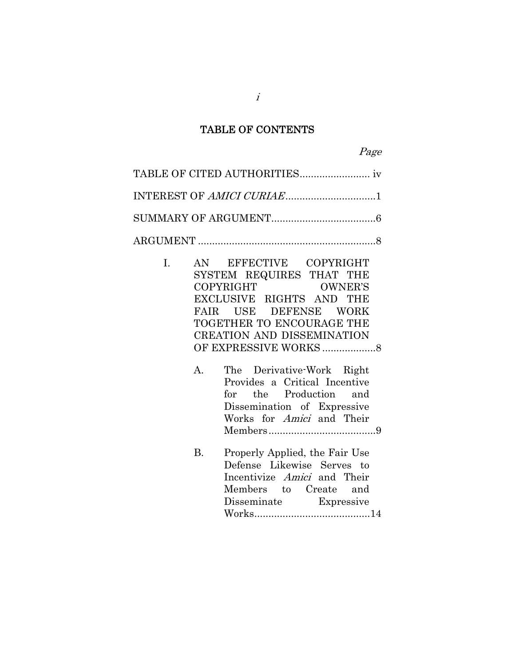## TABLE OF CONTENTS

B. Properly Applied, the Fair Use Defense Likewise Serves to Incentivize Amici and Their Members to Create and<br>Disseminate Expressive Disseminate Works ......................................... 14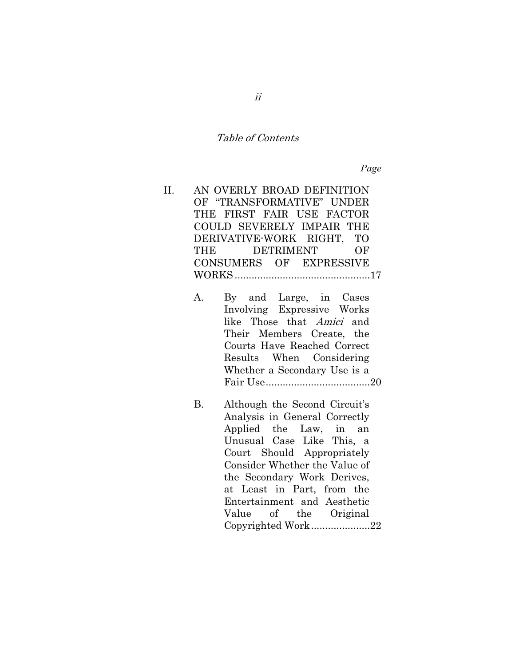### Table of Contents

*Page* 

- II. AN OVERLY BROAD DEFINITION OF "TRANSFORMATIVE" UNDER THE FIRST FAIR USE FACTOR COULD SEVERELY IMPAIR THE DERIVATIVE-WORK RIGHT, TO THE DETRIMENT OF CONSUMERS OF EXPRESSIVE WORKS ................................................ 17
	- A. By and Large, in Cases Involving Expressive Works like Those that Amici and Their Members Create, the Courts Have Reached Correct Results When Considering Whether a Secondary Use is a Fair Use ..................................... 20
	- B. Although the Second Circuit's Analysis in General Correctly Applied the Law, in an Unusual Case Like This, a Court Should Appropriately Consider Whether the Value of the Secondary Work Derives, at Least in Part, from the Entertainment and Aesthetic Value of the Original Copyrighted Work ..................... 22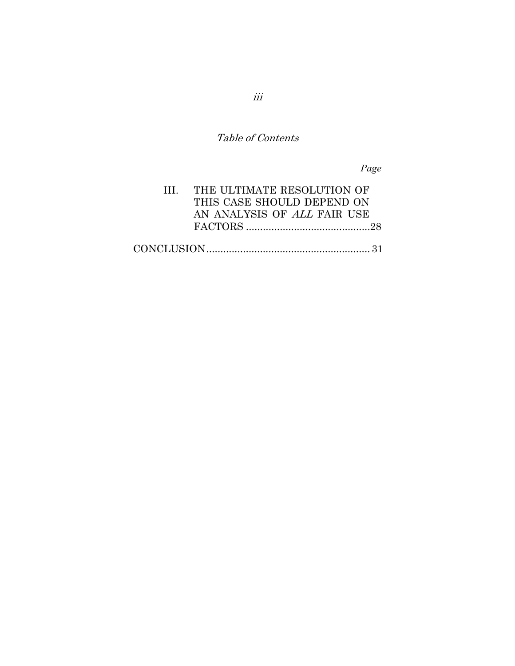Table of Contents

*Page* 

| III. THE ULTIMATE RESOLUTION OF |  |
|---------------------------------|--|
| THIS CASE SHOULD DEPEND ON      |  |
| AN ANALYSIS OF ALL FAIR USE     |  |
|                                 |  |
|                                 |  |
|                                 |  |

iii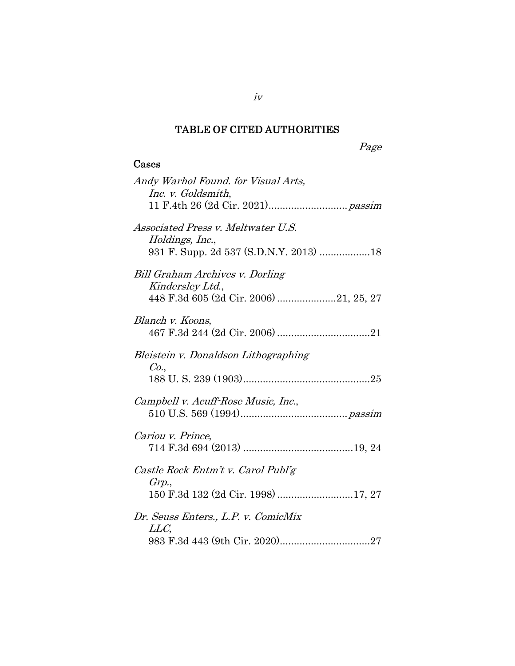# TABLE OF CITED AUTHORITIES

Page

## Cases

| Andy Warhol Found. for Visual Arts,<br>Inc. v. Goldsmith,                                              |
|--------------------------------------------------------------------------------------------------------|
| <i>Associated Press v. Meltwater U.S.</i><br>Holdings, Inc.,<br>931 F. Supp. 2d 537 (S.D.N.Y. 2013) 18 |
| Bill Graham Archives v. Dorling<br>Kindersley Ltd.,<br>448 F.3d 605 (2d Cir. 2006) 21, 25, 27          |
| Blanch v. Koons,                                                                                       |
| Bleistein v. Donaldson Lithographing<br>Co.,                                                           |
| Campbell v. Acuff-Rose Music, Inc.,                                                                    |
| Cariou v. Prince,                                                                                      |
| Castle Rock Entm't v. Carol Publ'g<br>Grp.,<br>150 F.3d 132 (2d Cir. 1998) 17, 27                      |
| Dr. Seuss Enters., L.P. v. ComicMix<br>LLC,                                                            |

iv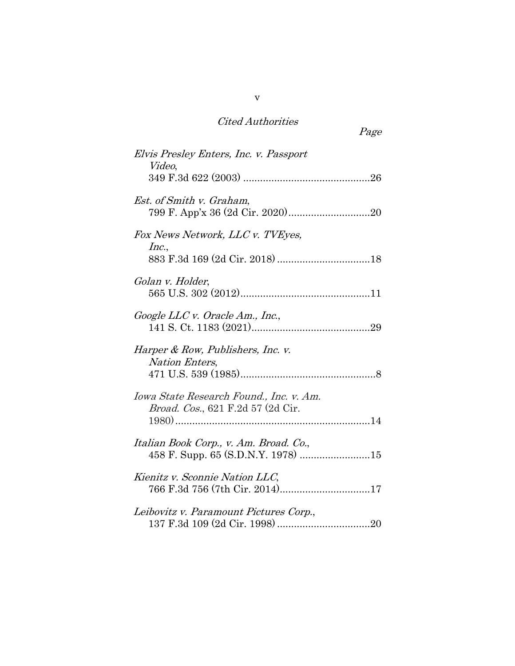| <b>Cited Authorities</b> |
|--------------------------|
|--------------------------|

| Page                                                                                 |
|--------------------------------------------------------------------------------------|
| Elvis Presley Enters, Inc. v. Passport<br>Video,                                     |
| <i>Est. of Smith v. Graham,</i>                                                      |
| Fox News Network, LLC v. TVEyes,<br>Inc.,                                            |
| Golan v. Holder,                                                                     |
| Google LLC v. Oracle Am., Inc.,                                                      |
| Harper & Row, Publishers, Inc. v.<br>Nation Enters,                                  |
| Iowa State Research Found., Inc. v. Am.<br><i>Broad. Cos.</i> , 621 F.2d 57 (2d Cir. |
| Italian Book Corp., v. Am. Broad. Co.,                                               |
| Kienitz v. Sconnie Nation LLC,<br>766 F.3d 756 (7th Cir. 2014)17                     |
| Leibovitz v. Paramount Pictures Corp.,                                               |

v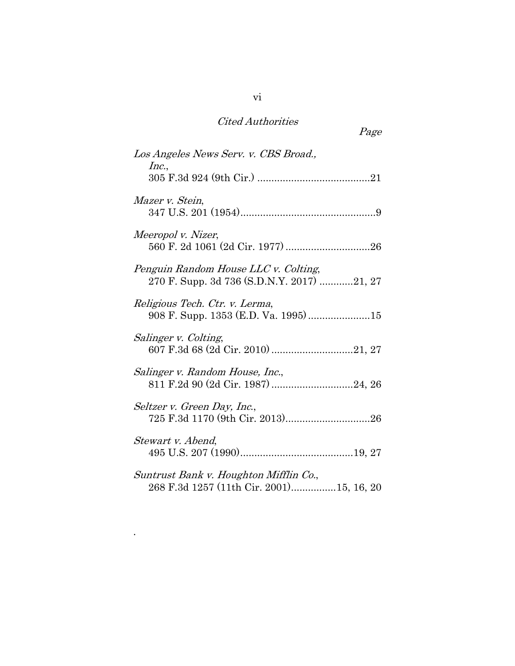# Cited Authorities

| Los Angeles News Serv. v. CBS Broad.,                                              |
|------------------------------------------------------------------------------------|
| Inc.,                                                                              |
| Mazer v. Stein,                                                                    |
| Meeropol v. Nizer,                                                                 |
| Penguin Random House LLC v. Colting,<br>270 F. Supp. 3d 736 (S.D.N.Y. 2017) 21, 27 |
| Religious Tech. Ctr. v. Lerma,                                                     |
| Salinger v. Colting,                                                               |
| Salinger v. Random House, Inc.,<br>811 F.2d 90 (2d Cir. 1987) 24, 26               |
| Seltzer v. Green Day, Inc.,                                                        |
| Stewart v. Abend,                                                                  |
| Suntrust Bank v. Houghton Mifflin Co.,                                             |

268 F.3d 1257 (11th Cir. 2001) ................ 15, 16, 20

.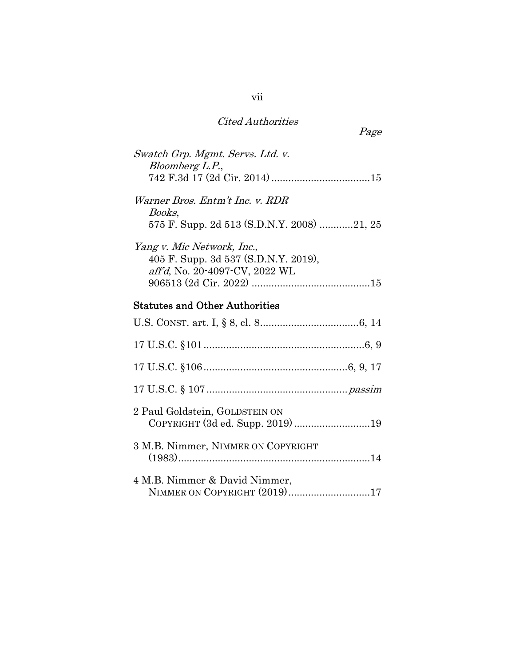## Cited Authorities

| Swatch Grp. Mgmt. Servs. Ltd. v.<br>Bloomberg L.P.,                                                  |
|------------------------------------------------------------------------------------------------------|
| Warner Bros. Entm't Inc. v. RDR<br>Books,<br>575 F. Supp. 2d 513 (S.D.N.Y. 2008) 21, 25              |
| Yang v. Mic Network, Inc.,<br>405 F. Supp. 3d 537 (S.D.N.Y. 2019),<br>aff'd, No. 20-4097-CV, 2022 WL |
| <b>Statutes and Other Authorities</b>                                                                |
|                                                                                                      |
|                                                                                                      |
|                                                                                                      |
|                                                                                                      |
| 2 Paul Goldstein, GOLDSTEIN ON<br>COPYRIGHT (3d ed. Supp. 2019) 19                                   |
| 3 M.B. Nimmer, NIMMER ON COPYRIGHT                                                                   |
| 4 M.B. Nimmer & David Nimmer,<br>NIMMER ON COPYRIGHT (2019)17                                        |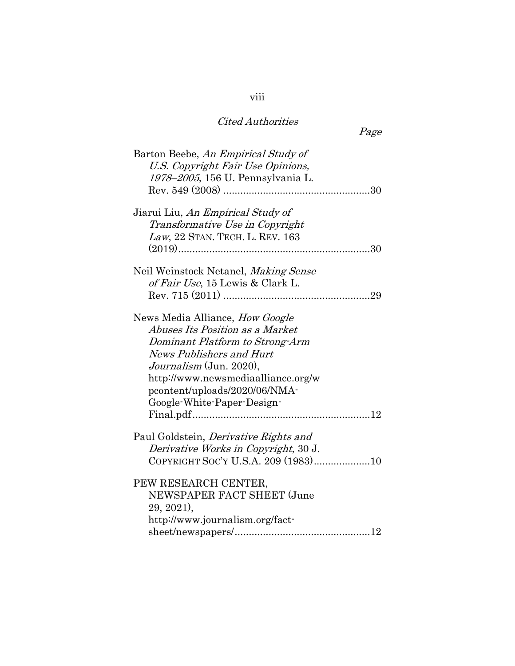| Page                                                                                                                                                                                                                                                                            |  |
|---------------------------------------------------------------------------------------------------------------------------------------------------------------------------------------------------------------------------------------------------------------------------------|--|
| Barton Beebe, An Empirical Study of<br>U.S. Copyright Fair Use Opinions,<br>1978-2005, 156 U. Pennsylvania L.                                                                                                                                                                   |  |
| Jiarui Liu, An Empirical Study of<br>Transformative Use in Copyright<br>Law, 22 STAN. TECH. L. REV. 163                                                                                                                                                                         |  |
| Neil Weinstock Netanel, Making Sense<br>of Fair Use, 15 Lewis & Clark L.                                                                                                                                                                                                        |  |
| News Media Alliance, <i>How Google</i><br>Abuses Its Position as a Market<br>Dominant Platform to Strong-Arm<br><b>News Publishers and Hurt</b><br>Journalism (Jun. 2020),<br>http://www.newsmediaalliance.org/w<br>pcontent/uploads/2020/06/NMA-<br>Google-White-Paper-Design- |  |
| Paul Goldstein, <i>Derivative Rights and</i><br>Derivative Works in Copyright, 30 J.                                                                                                                                                                                            |  |
| PEW RESEARCH CENTER,<br>NEWSPAPER FACT SHEET (June<br>29, 2021),<br>http://www.journalism.org/fact-                                                                                                                                                                             |  |

viii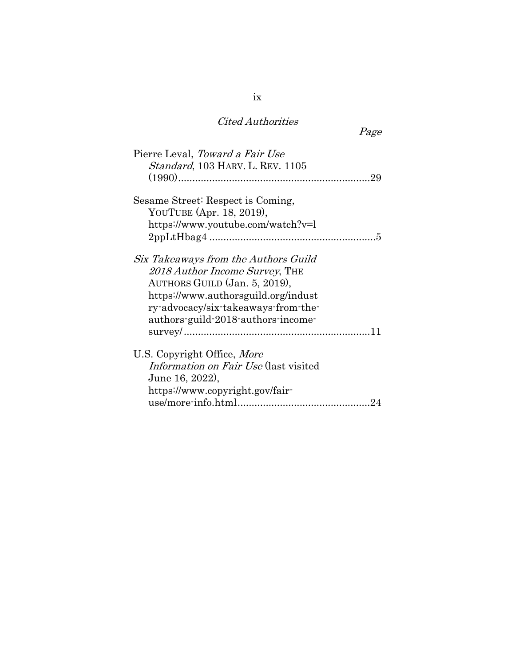## Cited Authorities

Page

| Pierre Leval, Toward a Fair Use<br>Standard, 103 HARV. L. REV. 1105                                                                                                                                                         |
|-----------------------------------------------------------------------------------------------------------------------------------------------------------------------------------------------------------------------------|
| Sesame Street: Respect is Coming,<br>YOUTUBE (Apr. 18, 2019),<br>https://www.youtube.com/watch?v=l                                                                                                                          |
| Six Takeaways from the Authors Guild<br>2018 Author Income Survey, THE<br>AUTHORS GUILD (Jan. 5, 2019),<br>https://www.authorsguild.org/indust<br>ry-advocacy/six-takeaways-from-the-<br>authors-guild-2018-authors-income- |
| U.S. Copyright Office, More<br>Information on Fair Use (last visited<br>June 16, 2022),<br>https://www.copyright.gov/fair-                                                                                                  |

ix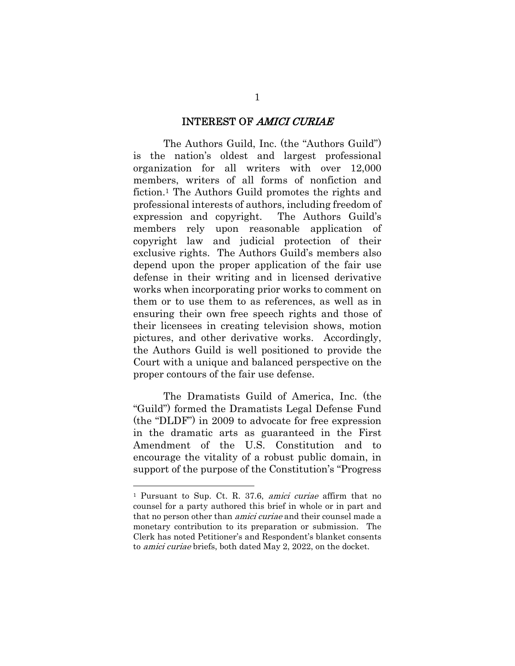#### INTEREST OF AMICI CURIAE

The Authors Guild, Inc. (the "Authors Guild") is the nation's oldest and largest professional organization for all writers with over 12,000 members, writers of all forms of nonfiction and fiction.1 The Authors Guild promotes the rights and professional interests of authors, including freedom of expression and copyright. The Authors Guild's members rely upon reasonable application of copyright law and judicial protection of their exclusive rights. The Authors Guild's members also depend upon the proper application of the fair use defense in their writing and in licensed derivative works when incorporating prior works to comment on them or to use them to as references, as well as in ensuring their own free speech rights and those of their licensees in creating television shows, motion pictures, and other derivative works. Accordingly, the Authors Guild is well positioned to provide the Court with a unique and balanced perspective on the proper contours of the fair use defense.

The Dramatists Guild of America, Inc. (the "Guild") formed the Dramatists Legal Defense Fund (the "DLDF") in 2009 to advocate for free expression in the dramatic arts as guaranteed in the First Amendment of the U.S. Constitution and to encourage the vitality of a robust public domain, in support of the purpose of the Constitution's "Progress

<sup>1</sup> Pursuant to Sup. Ct. R. 37.6, amici curiae affirm that no counsel for a party authored this brief in whole or in part and that no person other than *amici curiae* and their counsel made a monetary contribution to its preparation or submission. The Clerk has noted Petitioner's and Respondent's blanket consents to amici curiae briefs, both dated May 2, 2022, on the docket.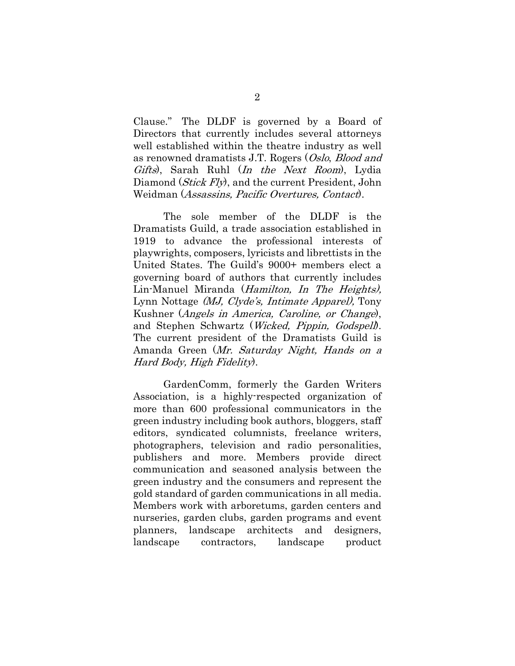Clause." The DLDF is governed by a Board of Directors that currently includes several attorneys well established within the theatre industry as well as renowned dramatists J.T. Rogers (Oslo, Blood and Gifts), Sarah Ruhl (In the Next Room), Lydia Diamond (*Stick Fly*), and the current President, John Weidman (Assassins, Pacific Overtures, Contact).

The sole member of the DLDF is the Dramatists Guild, a trade association established in 1919 to advance the professional interests of playwrights, composers, lyricists and librettists in the United States. The Guild's 9000+ members elect a governing board of authors that currently includes Lin-Manuel Miranda (Hamilton, In The Heights), Lynn Nottage (MJ, Clyde's, Intimate Apparel), Tony Kushner (Angels in America, Caroline, or Change), and Stephen Schwartz (Wicked, Pippin, Godspell). The current president of the Dramatists Guild is Amanda Green (Mr. Saturday Night, Hands on a Hard Body, High Fidelity).

GardenComm, formerly the Garden Writers Association, is a highly-respected organization of more than 600 professional communicators in the green industry including book authors, bloggers, staff editors, syndicated columnists, freelance writers, photographers, television and radio personalities, publishers and more. Members provide direct communication and seasoned analysis between the green industry and the consumers and represent the gold standard of garden communications in all media. Members work with arboretums, garden centers and nurseries, garden clubs, garden programs and event planners, landscape architects and designers, landscape contractors, landscape product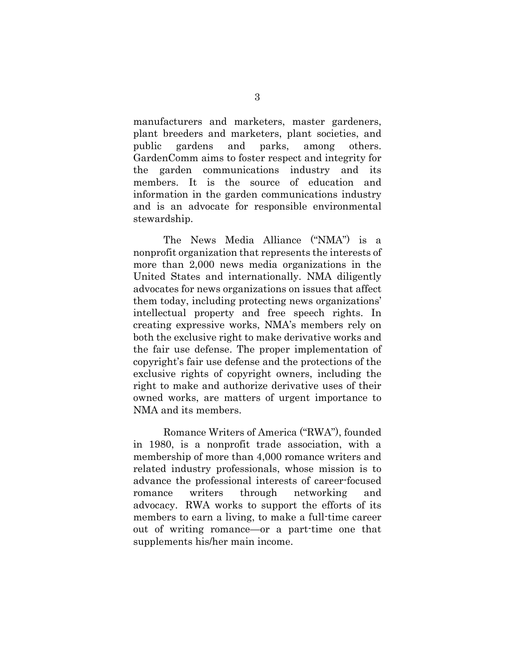manufacturers and marketers, master gardeners, plant breeders and marketers, plant societies, and public gardens and parks, among others. GardenComm aims to foster respect and integrity for the garden communications industry and its members. It is the source of education and information in the garden communications industry and is an advocate for responsible environmental stewardship.

The News Media Alliance ("NMA") is a nonprofit organization that represents the interests of more than 2,000 news media organizations in the United States and internationally. NMA diligently advocates for news organizations on issues that affect them today, including protecting news organizations' intellectual property and free speech rights. In creating expressive works, NMA's members rely on both the exclusive right to make derivative works and the fair use defense. The proper implementation of copyright's fair use defense and the protections of the exclusive rights of copyright owners, including the right to make and authorize derivative uses of their owned works, are matters of urgent importance to NMA and its members.

Romance Writers of America ("RWA"), founded in 1980, is a nonprofit trade association, with a membership of more than 4,000 romance writers and related industry professionals, whose mission is to advance the professional interests of career-focused romance writers through networking and advocacy. RWA works to support the efforts of its members to earn a living, to make a full-time career out of writing romance—or a part-time one that supplements his/her main income.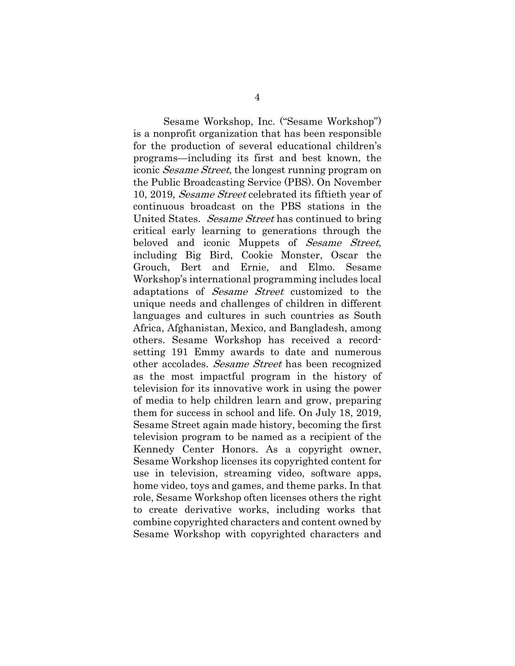Sesame Workshop, Inc. ("Sesame Workshop") is a nonprofit organization that has been responsible for the production of several educational children's programs—including its first and best known, the iconic Sesame Street, the longest running program on the Public Broadcasting Service (PBS). On November 10, 2019, Sesame Street celebrated its fiftieth year of continuous broadcast on the PBS stations in the United States. Sesame Street has continued to bring critical early learning to generations through the beloved and iconic Muppets of *Sesame Street*, including Big Bird, Cookie Monster, Oscar the Grouch, Bert and Ernie, and Elmo. Sesame Workshop's international programming includes local adaptations of Sesame Street customized to the unique needs and challenges of children in different languages and cultures in such countries as South Africa, Afghanistan, Mexico, and Bangladesh, among others. Sesame Workshop has received a recordsetting 191 Emmy awards to date and numerous other accolades. Sesame Street has been recognized as the most impactful program in the history of television for its innovative work in using the power of media to help children learn and grow, preparing them for success in school and life. On July 18, 2019, Sesame Street again made history, becoming the first television program to be named as a recipient of the Kennedy Center Honors. As a copyright owner, Sesame Workshop licenses its copyrighted content for use in television, streaming video, software apps, home video, toys and games, and theme parks. In that role, Sesame Workshop often licenses others the right to create derivative works, including works that combine copyrighted characters and content owned by Sesame Workshop with copyrighted characters and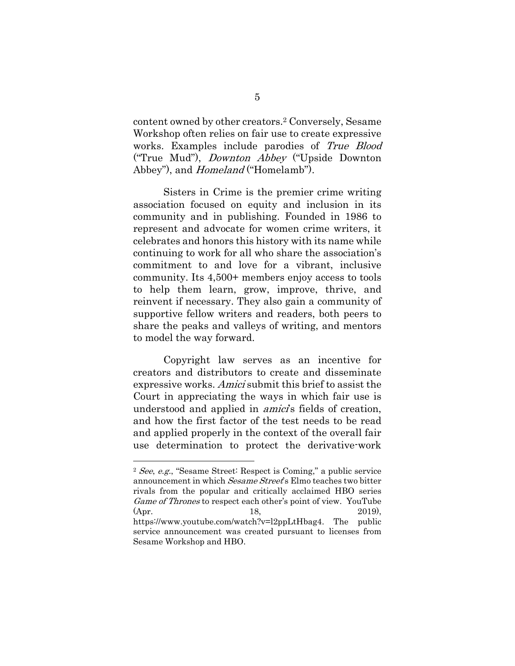content owned by other creators.2 Conversely, Sesame Workshop often relies on fair use to create expressive works. Examples include parodies of True Blood ("True Mud"), Downton Abbey ("Upside Downton Abbey"), and *Homeland* ("Homelamb").

Sisters in Crime is the premier crime writing association focused on equity and inclusion in its community and in publishing. Founded in 1986 to represent and advocate for women crime writers, it celebrates and honors this history with its name while continuing to work for all who share the association's commitment to and love for a vibrant, inclusive community. Its 4,500+ members enjoy access to tools to help them learn, grow, improve, thrive, and reinvent if necessary. They also gain a community of supportive fellow writers and readers, both peers to share the peaks and valleys of writing, and mentors to model the way forward.

Copyright law serves as an incentive for creators and distributors to create and disseminate expressive works. Amici submit this brief to assist the Court in appreciating the ways in which fair use is understood and applied in *amici*'s fields of creation, and how the first factor of the test needs to be read and applied properly in the context of the overall fair use determination to protect the derivative-work

<sup>2</sup> See, e.g., "Sesame Street: Respect is Coming," a public service announcement in which Sesame Street's Elmo teaches two bitter rivals from the popular and critically acclaimed HBO series Game of Thrones to respect each other's point of view. YouTube (Apr. 18, 2019), https://www.youtube.com/watch?v=l2ppLtHbag4. The public service announcement was created pursuant to licenses from Sesame Workshop and HBO.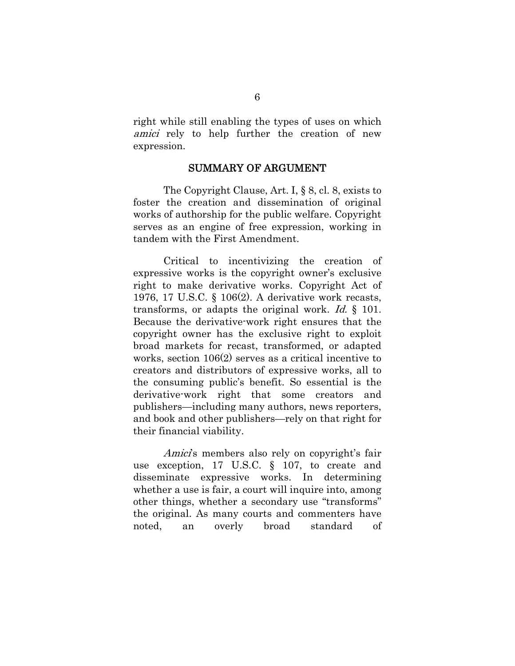right while still enabling the types of uses on which amici rely to help further the creation of new expression.

#### SUMMARY OF ARGUMENT

The Copyright Clause, Art. I, § 8, cl. 8, exists to foster the creation and dissemination of original works of authorship for the public welfare. Copyright serves as an engine of free expression, working in tandem with the First Amendment.

Critical to incentivizing the creation of expressive works is the copyright owner's exclusive right to make derivative works. Copyright Act of 1976, 17 U.S.C. § 106(2). A derivative work recasts, transforms, or adapts the original work. Id. § 101. Because the derivative-work right ensures that the copyright owner has the exclusive right to exploit broad markets for recast, transformed, or adapted works, section 106(2) serves as a critical incentive to creators and distributors of expressive works, all to the consuming public's benefit. So essential is the derivative-work right that some creators and publishers—including many authors, news reporters, and book and other publishers—rely on that right for their financial viability.

Amici's members also rely on copyright's fair use exception, 17 U.S.C. § 107, to create and disseminate expressive works. In determining whether a use is fair, a court will inquire into, among other things, whether a secondary use "transforms" the original. As many courts and commenters have noted, an overly broad standard of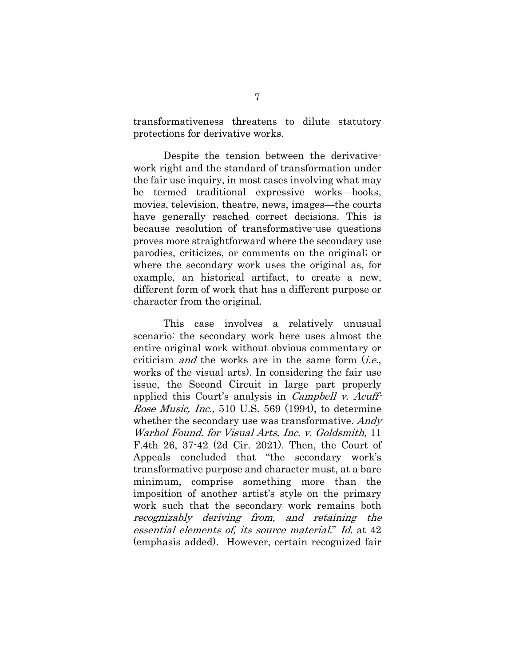transformativeness threatens to dilute statutory protections for derivative works.

Despite the tension between the derivativework right and the standard of transformation under the fair use inquiry, in most cases involving what may be termed traditional expressive works—books, movies, television, theatre, news, images—the courts have generally reached correct decisions. This is because resolution of transformative-use questions proves more straightforward where the secondary use parodies, criticizes, or comments on the original; or where the secondary work uses the original as, for example, an historical artifact, to create a new, different form of work that has a different purpose or character from the original.

This case involves a relatively unusual scenario: the secondary work here uses almost the entire original work without obvious commentary or criticism *and* the works are in the same form  $(i.e.,$ works of the visual arts). In considering the fair use issue, the Second Circuit in large part properly applied this Court's analysis in Campbell v. Acuff-Rose Music, Inc., 510 U.S. 569 (1994), to determine whether the secondary use was transformative. Andy Warhol Found. for Visual Arts, Inc. v. Goldsmith, 11 F.4th 26, 37-42 (2d Cir. 2021). Then, the Court of Appeals concluded that "the secondary work's transformative purpose and character must, at a bare minimum, comprise something more than the imposition of another artist's style on the primary work such that the secondary work remains both recognizably deriving from, and retaining the essential elements of, its source material." Id. at 42 (emphasis added). However, certain recognized fair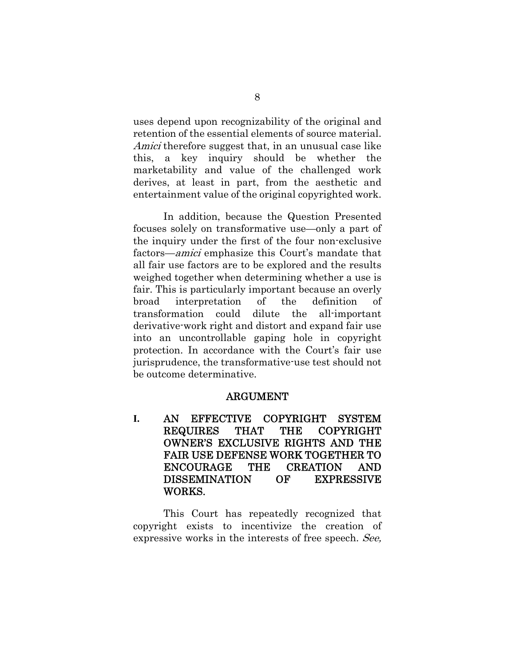uses depend upon recognizability of the original and retention of the essential elements of source material. Amici therefore suggest that, in an unusual case like this, a key inquiry should be whether the marketability and value of the challenged work derives, at least in part, from the aesthetic and entertainment value of the original copyrighted work.

In addition, because the Question Presented focuses solely on transformative use—only a part of the inquiry under the first of the four non-exclusive factors—amici emphasize this Court's mandate that all fair use factors are to be explored and the results weighed together when determining whether a use is fair. This is particularly important because an overly broad interpretation of the definition of transformation could dilute the all-important derivative-work right and distort and expand fair use into an uncontrollable gaping hole in copyright protection. In accordance with the Court's fair use jurisprudence, the transformative-use test should not be outcome determinative.

### ARGUMENT

**I.** AN EFFECTIVE COPYRIGHT SYSTEM REQUIRES THAT THE COPYRIGHT OWNER'S EXCLUSIVE RIGHTS AND THE FAIR USE DEFENSE WORK TOGETHER TO ENCOURAGE THE CREATION AND DISSEMINATION OF EXPRESSIVE WORKS.

This Court has repeatedly recognized that copyright exists to incentivize the creation of expressive works in the interests of free speech. See,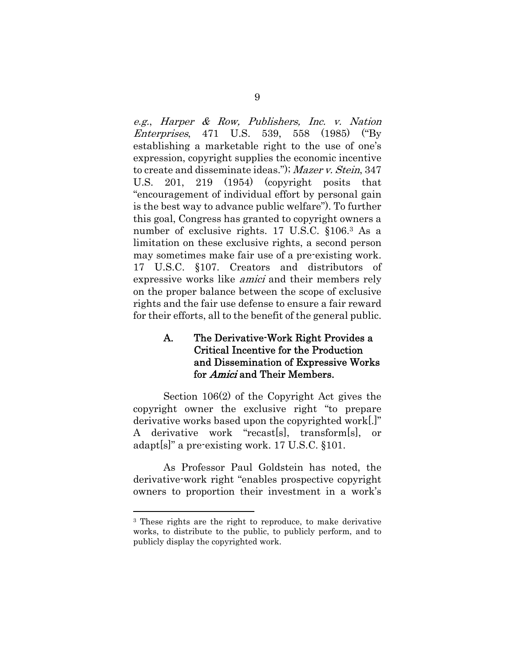e.g., Harper & Row, Publishers, Inc. v. Nation Enterprises, 471 U.S. 539, 558 (1985) ("By establishing a marketable right to the use of one's expression, copyright supplies the economic incentive to create and disseminate ideas."); Mazer v. Stein, 347 U.S. 201, 219 (1954) (copyright posits that "encouragement of individual effort by personal gain is the best way to advance public welfare"). To further this goal, Congress has granted to copyright owners a number of exclusive rights. 17 U.S.C. §106.3 As a limitation on these exclusive rights, a second person may sometimes make fair use of a pre-existing work. 17 U.S.C. §107. Creators and distributors of expressive works like amici and their members rely on the proper balance between the scope of exclusive rights and the fair use defense to ensure a fair reward for their efforts, all to the benefit of the general public.

### A. The Derivative-Work Right Provides a Critical Incentive for the Production and Dissemination of Expressive Works for Amici and Their Members.

Section 106(2) of the Copyright Act gives the copyright owner the exclusive right "to prepare derivative works based upon the copyrighted work[.]" A derivative work "recast[s], transform[s], or adapt[s]" a pre-existing work. 17 U.S.C. §101.

As Professor Paul Goldstein has noted, the derivative-work right "enables prospective copyright owners to proportion their investment in a work's

<sup>&</sup>lt;sup>3</sup> These rights are the right to reproduce, to make derivative works, to distribute to the public, to publicly perform, and to publicly display the copyrighted work.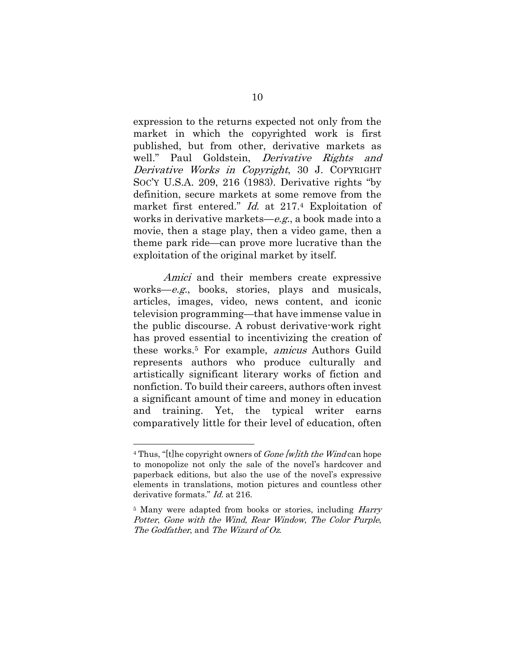expression to the returns expected not only from the market in which the copyrighted work is first published, but from other, derivative markets as well." Paul Goldstein, *Derivative Rights and* Derivative Works in Copyright, 30 J. COPYRIGHT SOC'Y U.S.A. 209, 216 (1983). Derivative rights "by definition, secure markets at some remove from the market first entered." Id. at 217.4 Exploitation of works in derivative markets—e.g., a book made into a movie, then a stage play, then a video game, then a theme park ride—can prove more lucrative than the exploitation of the original market by itself.

Amici and their members create expressive works—e.g., books, stories, plays and musicals, articles, images, video, news content, and iconic television programming—that have immense value in the public discourse. A robust derivative-work right has proved essential to incentivizing the creation of these works.5 For example, amicus Authors Guild represents authors who produce culturally and artistically significant literary works of fiction and nonfiction. To build their careers, authors often invest a significant amount of time and money in education and training. Yet, the typical writer earns comparatively little for their level of education, often

<sup>&</sup>lt;sup>4</sup> Thus, "[t]he copyright owners of *Gone [w]ith the Wind* can hope to monopolize not only the sale of the novel's hardcover and paperback editions, but also the use of the novel's expressive elements in translations, motion pictures and countless other derivative formats." *Id.* at 216.

<sup>&</sup>lt;sup>5</sup> Many were adapted from books or stories, including *Harry* Potter, Gone with the Wind, Rear Window, The Color Purple, The Godfather, and The Wizard of Oz.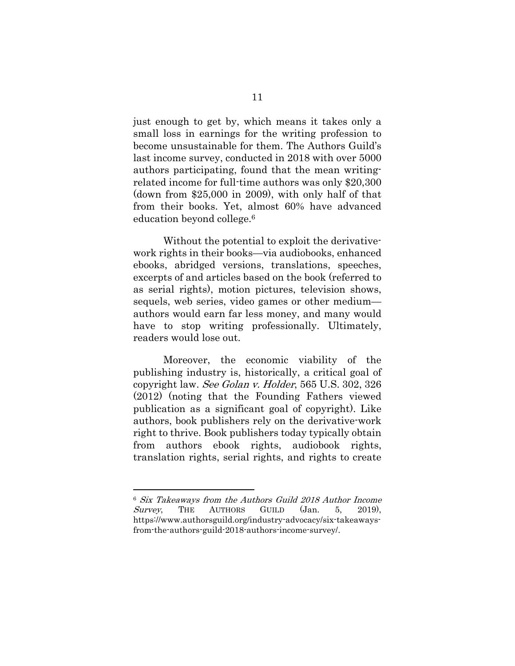just enough to get by, which means it takes only a small loss in earnings for the writing profession to become unsustainable for them. The Authors Guild's last income survey, conducted in 2018 with over 5000 authors participating, found that the mean writingrelated income for full-time authors was only \$20,300 (down from \$25,000 in 2009), with only half of that from their books. Yet, almost 60% have advanced education beyond college.6

Without the potential to exploit the derivativework rights in their books—via audiobooks, enhanced ebooks, abridged versions, translations, speeches, excerpts of and articles based on the book (referred to as serial rights), motion pictures, television shows, sequels, web series, video games or other medium authors would earn far less money, and many would have to stop writing professionally. Ultimately, readers would lose out.

Moreover, the economic viability of the publishing industry is, historically, a critical goal of copyright law. See Golan v. Holder, 565 U.S. 302, 326 (2012) (noting that the Founding Fathers viewed publication as a significant goal of copyright). Like authors, book publishers rely on the derivative-work right to thrive. Book publishers today typically obtain from authors ebook rights, audiobook rights, translation rights, serial rights, and rights to create

<sup>6</sup> Six Takeaways from the Authors Guild 2018 Author Income  $Survey$ , THE AUTHORS GUILD (Jan. 5, 2019), https://www.authorsguild.org/industry-advocacy/six-takeawaysfrom-the-authors-guild-2018-authors-income-survey/.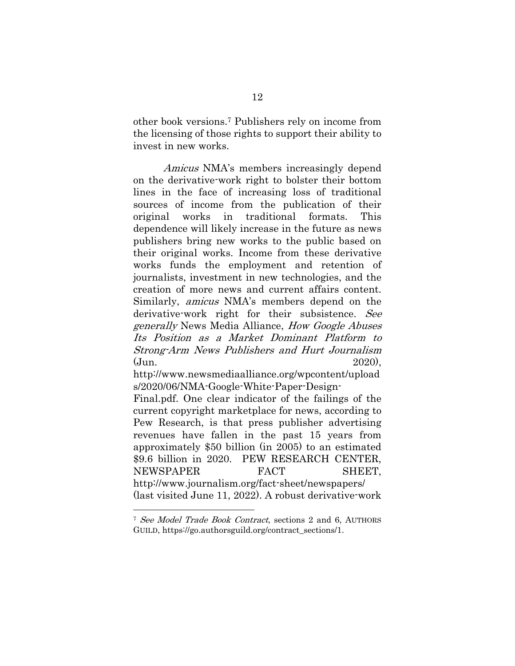other book versions.7 Publishers rely on income from the licensing of those rights to support their ability to invest in new works.

Amicus NMA's members increasingly depend on the derivative-work right to bolster their bottom lines in the face of increasing loss of traditional sources of income from the publication of their original works in traditional formats. This dependence will likely increase in the future as news publishers bring new works to the public based on their original works. Income from these derivative works funds the employment and retention of journalists, investment in new technologies, and the creation of more news and current affairs content. Similarly, amicus NMA's members depend on the derivative-work right for their subsistence. See generally News Media Alliance, How Google Abuses Its Position as a Market Dominant Platform to Strong-Arm News Publishers and Hurt Journalism (Jun. 2020),

http://www.newsmediaalliance.org/wpcontent/upload s/2020/06/NMA-Google-White-Paper-Design-

Final.pdf. One clear indicator of the failings of the current copyright marketplace for news, according to Pew Research, is that press publisher advertising revenues have fallen in the past 15 years from approximately \$50 billion (in 2005) to an estimated \$9.6 billion in 2020. PEW RESEARCH CENTER, NEWSPAPER FACT SHEET, http://www.journalism.org/fact-sheet/newspapers/ (last visited June 11, 2022). A robust derivative-work

<sup>7</sup> See Model Trade Book Contract, sections 2 and 6, AUTHORS GUILD, https://go.authorsguild.org/contract\_sections/1.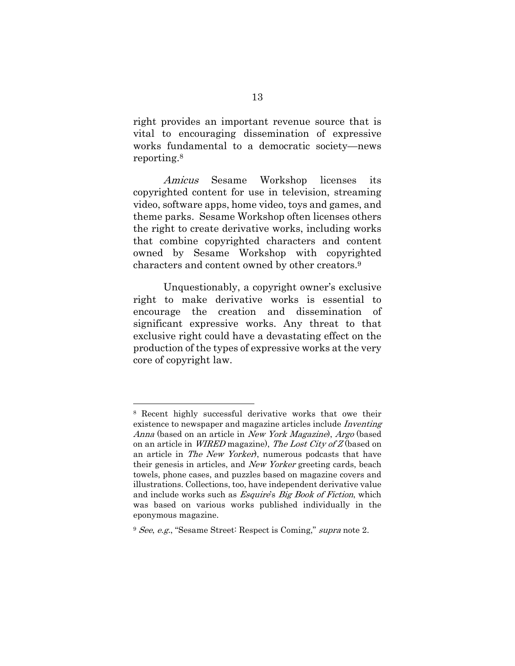right provides an important revenue source that is vital to encouraging dissemination of expressive works fundamental to a democratic society—news reporting.8

Amicus Sesame Workshop licenses its copyrighted content for use in television, streaming video, software apps, home video, toys and games, and theme parks. Sesame Workshop often licenses others the right to create derivative works, including works that combine copyrighted characters and content owned by Sesame Workshop with copyrighted characters and content owned by other creators.9

Unquestionably, a copyright owner's exclusive right to make derivative works is essential to encourage the creation and dissemination of significant expressive works. Any threat to that exclusive right could have a devastating effect on the production of the types of expressive works at the very core of copyright law.

<sup>8</sup> Recent highly successful derivative works that owe their existence to newspaper and magazine articles include *Inventing* Anna (based on an article in *New York Magazine*), *Argo* (based on an article in *WIRED* magazine), The Lost City of Z (based on an article in *The New Yorker*), numerous podcasts that have their genesis in articles, and New Yorker greeting cards, beach towels, phone cases, and puzzles based on magazine covers and illustrations. Collections, too, have independent derivative value and include works such as *Esquire's Big Book of Fiction*, which was based on various works published individually in the eponymous magazine.

<sup>9</sup> See, e.g., "Sesame Street: Respect is Coming," supra note 2.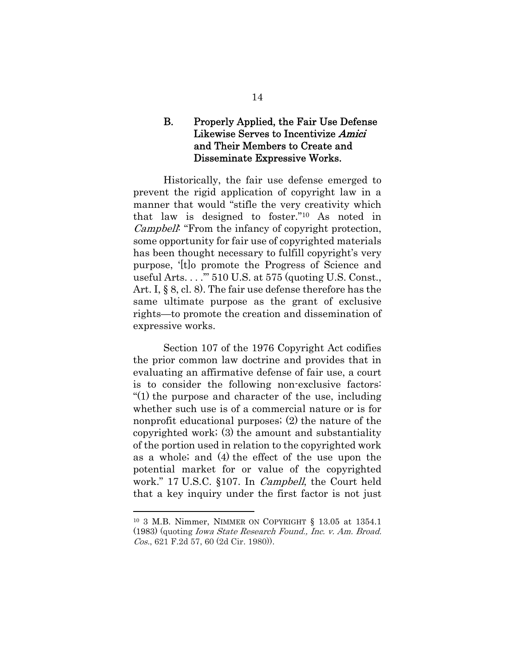### B. Properly Applied, the Fair Use Defense Likewise Serves to Incentivize Amici and Their Members to Create and Disseminate Expressive Works.

Historically, the fair use defense emerged to prevent the rigid application of copyright law in a manner that would "stifle the very creativity which that law is designed to foster."10 As noted in Campbell: "From the infancy of copyright protection, some opportunity for fair use of copyrighted materials has been thought necessary to fulfill copyright's very purpose, '[t]o promote the Progress of Science and useful Arts. . . .'" 510 U.S. at 575 (quoting U.S. Const., Art. I, § 8, cl. 8). The fair use defense therefore has the same ultimate purpose as the grant of exclusive rights—to promote the creation and dissemination of expressive works.

Section 107 of the 1976 Copyright Act codifies the prior common law doctrine and provides that in evaluating an affirmative defense of fair use, a court is to consider the following non-exclusive factors: "(1) the purpose and character of the use, including whether such use is of a commercial nature or is for nonprofit educational purposes; (2) the nature of the copyrighted work; (3) the amount and substantiality of the portion used in relation to the copyrighted work as a whole; and (4) the effect of the use upon the potential market for or value of the copyrighted work." 17 U.S.C. §107. In Campbell, the Court held that a key inquiry under the first factor is not just

<sup>10 3</sup> M.B. Nimmer, NIMMER ON COPYRIGHT § 13.05 at 1354.1 (1983) (quoting Iowa State Research Found., Inc. v. Am. Broad. Cos., 621 F.2d 57, 60 (2d Cir. 1980)).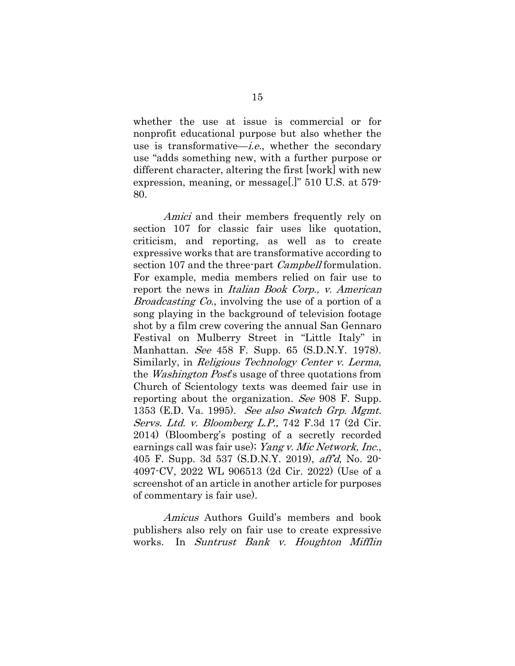whether the use at issue is commercial or for nonprofit educational purpose but also whether the use is transformative—*i.e.*, whether the secondary use "adds something new, with a further purpose or different character, altering the first [work] with new expression, meaning, or message[.]" 510 U.S. at 579- 80.

Amici and their members frequently rely on section 107 for classic fair uses like quotation, criticism, and reporting, as well as to create expressive works that are transformative according to section 107 and the three-part *Campbell* formulation. For example, media members relied on fair use to report the news in Italian Book Corp., v. American Broadcasting Co., involving the use of a portion of a song playing in the background of television footage shot by a film crew covering the annual San Gennaro Festival on Mulberry Street in "Little Italy" in Manhattan. See 458 F. Supp. 65 (S.D.N.Y. 1978). Similarly, in Religious Technology Center v. Lerma, the *Washington Post's* usage of three quotations from Church of Scientology texts was deemed fair use in reporting about the organization. See 908 F. Supp. 1353 (E.D. Va. 1995). See also Swatch Grp. Mgmt. Servs. Ltd. v. Bloomberg L.P., 742 F.3d 17 (2d Cir. 2014) (Bloomberg's posting of a secretly recorded earnings call was fair use); Yang v. Mic Network, Inc., 405 F. Supp. 3d 537 (S.D.N.Y. 2019), aff'd, No. 20- 4097-CV, 2022 WL 906513 (2d Cir. 2022) (Use of a screenshot of an article in another article for purposes of commentary is fair use).

Amicus Authors Guild's members and book publishers also rely on fair use to create expressive works. In Suntrust Bank v. Houghton Mifflin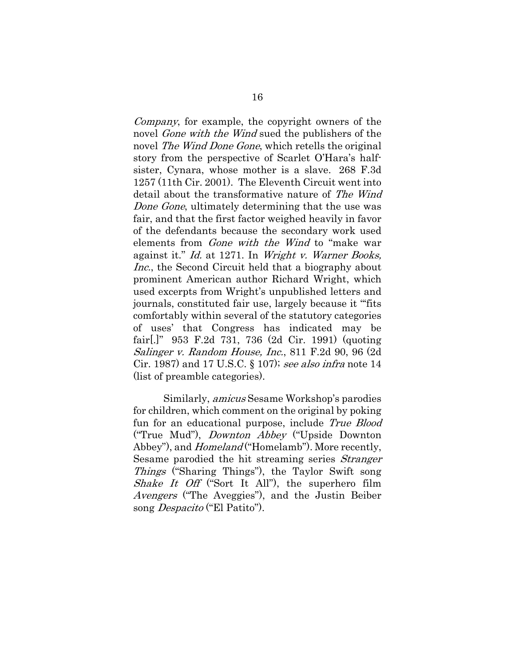Company, for example, the copyright owners of the novel *Gone with the Wind* sued the publishers of the novel *The Wind Done Gone*, which retells the original story from the perspective of Scarlet O'Hara's halfsister, Cynara, whose mother is a slave. 268 F.3d 1257 (11th Cir. 2001). The Eleventh Circuit went into detail about the transformative nature of The Wind Done Gone, ultimately determining that the use was fair, and that the first factor weighed heavily in favor of the defendants because the secondary work used elements from Gone with the Wind to "make war against it." Id. at 1271. In Wright v. Warner Books, Inc., the Second Circuit held that a biography about prominent American author Richard Wright, which used excerpts from Wright's unpublished letters and journals, constituted fair use, largely because it "'fits comfortably within several of the statutory categories of uses' that Congress has indicated may be fair[.]" 953 F.2d 731, 736 (2d Cir. 1991) (quoting Salinger v. Random House, Inc., 811 F.2d 90, 96 (2d Cir. 1987) and 17 U.S.C. § 107); see also infra note 14 (list of preamble categories).

Similarly, amicus Sesame Workshop's parodies for children, which comment on the original by poking fun for an educational purpose, include True Blood ("True Mud"), Downton Abbey ("Upside Downton Abbey"), and *Homeland* ("Homelamb"). More recently, Sesame parodied the hit streaming series *Stranger* Things ("Sharing Things"), the Taylor Swift song Shake It Off ("Sort It All"), the superhero film Avengers ("The Aveggies"), and the Justin Beiber song *Despacito* ("El Patito").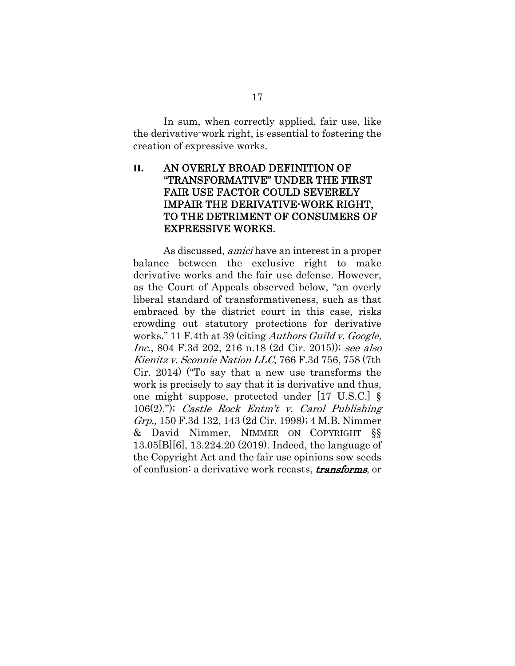In sum, when correctly applied, fair use, like the derivative-work right, is essential to fostering the creation of expressive works.

### **II.** AN OVERLY BROAD DEFINITION OF "TRANSFORMATIVE" UNDER THE FIRST FAIR USE FACTOR COULD SEVERELY IMPAIR THE DERIVATIVE-WORK RIGHT, TO THE DETRIMENT OF CONSUMERS OF EXPRESSIVE WORKS.

As discussed, amici have an interest in a proper balance between the exclusive right to make derivative works and the fair use defense. However, as the Court of Appeals observed below, "an overly liberal standard of transformativeness, such as that embraced by the district court in this case, risks crowding out statutory protections for derivative works." 11 F.4th at 39 (citing *Authors Guild v. Google*, Inc., 804 F.3d 202, 216 n.18 (2d Cir. 2015)); see also Kienitz v. Sconnie Nation LLC, 766 F.3d 756, 758 (7th Cir. 2014) ("To say that a new use transforms the work is precisely to say that it is derivative and thus, one might suppose, protected under [17 U.S.C.] §  $106(2)$ ."); Castle Rock Entm't v. Carol Publishing Grp., 150 F.3d 132, 143 (2d Cir. 1998); 4 M.B. Nimmer & David Nimmer, NIMMER ON COPYRIGHT §§ 13.05[B][6], 13.224.20 (2019). Indeed, the language of the Copyright Act and the fair use opinions sow seeds of confusion: a derivative work recasts, *transforms*, or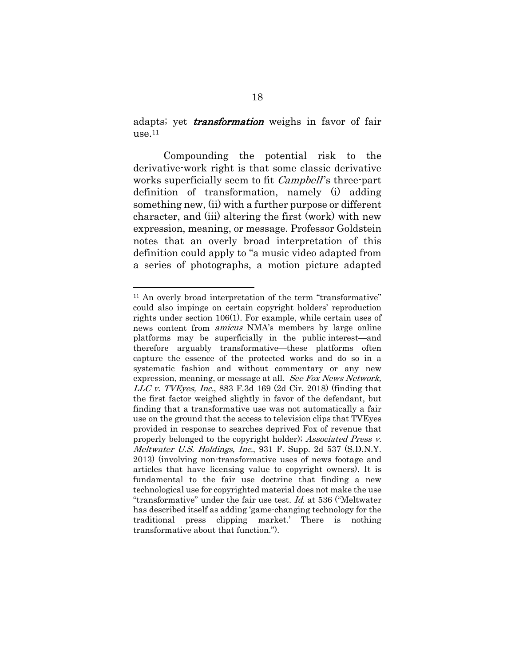adapts; yet *transformation* weighs in favor of fair  $use<sub>11</sub>$ 

Compounding the potential risk to the derivative-work right is that some classic derivative works superficially seem to fit *Campbell*'s three-part definition of transformation, namely (i) adding something new, (ii) with a further purpose or different character, and (iii) altering the first (work) with new expression, meaning, or message. Professor Goldstein notes that an overly broad interpretation of this definition could apply to "a music video adapted from a series of photographs, a motion picture adapted

<sup>&</sup>lt;sup>11</sup> An overly broad interpretation of the term "transformative" could also impinge on certain copyright holders' reproduction rights under section 106(1). For example, while certain uses of news content from amicus NMA's members by large online platforms may be superficially in the public interest—and therefore arguably transformative—these platforms often capture the essence of the protected works and do so in a systematic fashion and without commentary or any new expression, meaning, or message at all. See Fox News Network, LLC v. TVEyes, Inc., 883 F.3d 169 (2d Cir. 2018) (finding that the first factor weighed slightly in favor of the defendant, but finding that a transformative use was not automatically a fair use on the ground that the access to television clips that TVEyes provided in response to searches deprived Fox of revenue that properly belonged to the copyright holder); Associated Press v. Meltwater U.S. Holdings, Inc., 931 F. Supp. 2d 537 (S.D.N.Y. 2013) (involving non-transformative uses of news footage and articles that have licensing value to copyright owners). It is fundamental to the fair use doctrine that finding a new technological use for copyrighted material does not make the use "transformative" under the fair use test. Id. at 536 ("Meltwater has described itself as adding 'game-changing technology for the traditional press clipping market.' There is nothing transformative about that function.").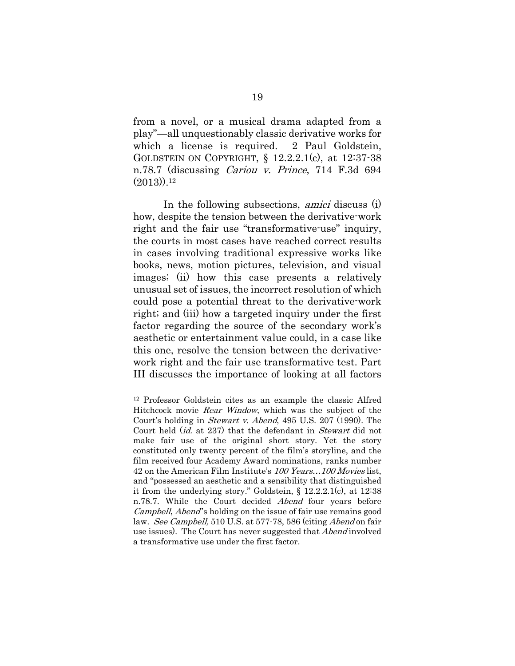from a novel, or a musical drama adapted from a play"—all unquestionably classic derivative works for which a license is required. 2 Paul Goldstein, GOLDSTEIN ON COPYRIGHT, § 12.2.2.1(c), at 12:37-38 n.78.7 (discussing Cariou v. Prince, 714 F.3d 694  $(2013)$ ).<sup>12</sup>

In the following subsections, amici discuss (i) how, despite the tension between the derivative-work right and the fair use "transformative-use" inquiry, the courts in most cases have reached correct results in cases involving traditional expressive works like books, news, motion pictures, television, and visual images; (ii) how this case presents a relatively unusual set of issues, the incorrect resolution of which could pose a potential threat to the derivative-work right; and (iii) how a targeted inquiry under the first factor regarding the source of the secondary work's aesthetic or entertainment value could, in a case like this one, resolve the tension between the derivativework right and the fair use transformative test. Part III discusses the importance of looking at all factors

<sup>12</sup> Professor Goldstein cites as an example the classic Alfred Hitchcock movie *Rear Window*, which was the subject of the Court's holding in Stewart v. Abend, 495 U.S. 207 (1990). The Court held *(id.* at 237) that the defendant in *Stewart* did not make fair use of the original short story. Yet the story constituted only twenty percent of the film's storyline, and the film received four Academy Award nominations, ranks number 42 on the American Film Institute's 100 Years...100 Movies list, and "possessed an aesthetic and a sensibility that distinguished it from the underlying story." Goldstein, § 12.2.2.1(c), at 12:38 n.78.7. While the Court decided Abend four years before Campbell, Abend''s holding on the issue of fair use remains good law. See Campbell, 510 U.S. at 577-78, 586 (citing Abend on fair use issues). The Court has never suggested that *Abend* involved a transformative use under the first factor.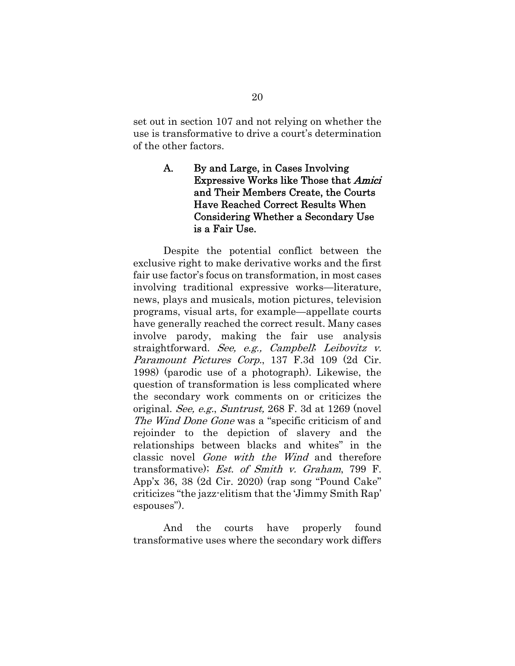set out in section 107 and not relying on whether the use is transformative to drive a court's determination of the other factors.

### A. By and Large, in Cases Involving Expressive Works like Those that Amici and Their Members Create, the Courts Have Reached Correct Results When Considering Whether a Secondary Use is a Fair Use.

Despite the potential conflict between the exclusive right to make derivative works and the first fair use factor's focus on transformation, in most cases involving traditional expressive works—literature, news, plays and musicals, motion pictures, television programs, visual arts, for example—appellate courts have generally reached the correct result. Many cases involve parody, making the fair use analysis straightforward. See, e.g., Campbell; Leibovitz  $v$ . Paramount Pictures Corp., 137 F.3d 109 (2d Cir. 1998) (parodic use of a photograph). Likewise, the question of transformation is less complicated where the secondary work comments on or criticizes the original. See, e.g., Suntrust, 268 F. 3d at 1269 (novel The Wind Done Gone was a "specific criticism of and rejoinder to the depiction of slavery and the relationships between blacks and whites" in the classic novel Gone with the Wind and therefore transformative); Est. of Smith v. Graham, 799 F. App'x 36, 38 (2d Cir. 2020) (rap song "Pound Cake" criticizes "the jazz-elitism that the 'Jimmy Smith Rap' espouses").

And the courts have properly found transformative uses where the secondary work differs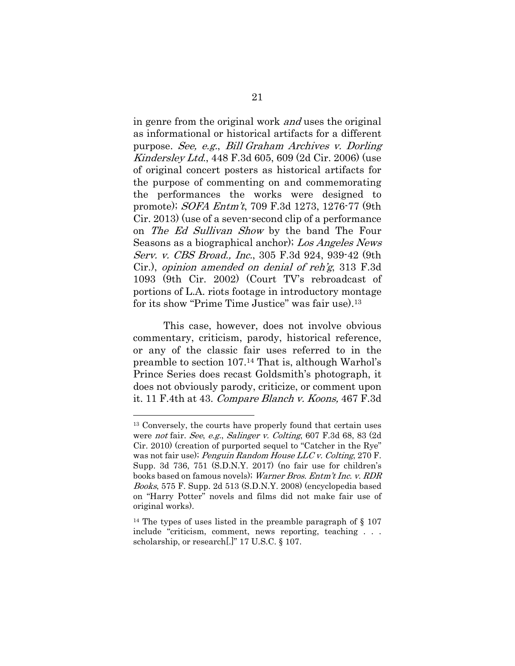in genre from the original work and uses the original as informational or historical artifacts for a different purpose. See, e.g., Bill Graham Archives v. Dorling Kindersley Ltd., 448 F.3d 605, 609 (2d Cir. 2006) (use of original concert posters as historical artifacts for the purpose of commenting on and commemorating the performances the works were designed to promote); SOFA Entm't, 709 F.3d 1273, 1276-77 (9th Cir. 2013) (use of a seven-second clip of a performance on The Ed Sullivan Show by the band The Four Seasons as a biographical anchor); Los Angeles News Serv. v. CBS Broad., Inc., 305 F.3d 924, 939-42 (9th Cir.), opinion amended on denial of reh'g, 313 F.3d 1093 (9th Cir. 2002) (Court TV's rebroadcast of portions of L.A. riots footage in introductory montage for its show "Prime Time Justice" was fair use).13

This case, however, does not involve obvious commentary, criticism, parody, historical reference, or any of the classic fair uses referred to in the preamble to section 107.14 That is, although Warhol's Prince Series does recast Goldsmith's photograph, it does not obviously parody, criticize, or comment upon it. 11 F.4th at 43. Compare Blanch v. Koons, 467 F.3d

<sup>13</sup> Conversely, the courts have properly found that certain uses were not fair. See, e.g., Salinger v. Colting, 607 F.3d 68, 83 (2d Cir. 2010) (creation of purported sequel to "Catcher in the Rye" was not fair use); *Penguin Random House LLC v. Colting*, 270 F. Supp. 3d 736, 751 (S.D.N.Y. 2017) (no fair use for children's books based on famous novels); Warner Bros. Entm't Inc. v. RDR Books, 575 F. Supp. 2d 513 (S.D.N.Y. 2008) (encyclopedia based on "Harry Potter" novels and films did not make fair use of original works).

<sup>&</sup>lt;sup>14</sup> The types of uses listed in the preamble paragraph of  $\S$  107 include "criticism, comment, news reporting, teaching . . . scholarship, or research[.]" 17 U.S.C. § 107.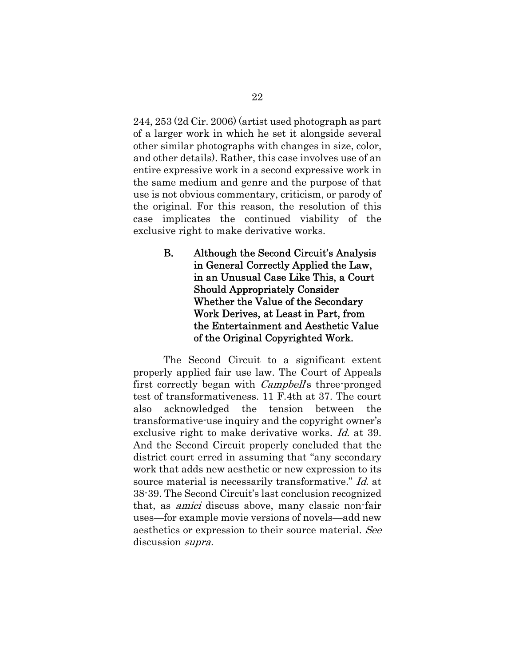244, 253 (2d Cir. 2006) (artist used photograph as part of a larger work in which he set it alongside several other similar photographs with changes in size, color, and other details). Rather, this case involves use of an entire expressive work in a second expressive work in the same medium and genre and the purpose of that use is not obvious commentary, criticism, or parody of the original. For this reason, the resolution of this case implicates the continued viability of the exclusive right to make derivative works.

> B. Although the Second Circuit's Analysis in General Correctly Applied the Law, in an Unusual Case Like This, a Court Should Appropriately Consider Whether the Value of the Secondary Work Derives, at Least in Part, from the Entertainment and Aesthetic Value of the Original Copyrighted Work.

The Second Circuit to a significant extent properly applied fair use law. The Court of Appeals first correctly began with *Campbell*'s three-pronged test of transformativeness. 11 F.4th at 37. The court also acknowledged the tension between the transformative-use inquiry and the copyright owner's exclusive right to make derivative works. *Id.* at 39. And the Second Circuit properly concluded that the district court erred in assuming that "any secondary work that adds new aesthetic or new expression to its source material is necessarily transformative." *Id.* at 38-39. The Second Circuit's last conclusion recognized that, as amici discuss above, many classic non-fair uses—for example movie versions of novels—add new aesthetics or expression to their source material. See discussion *supra*.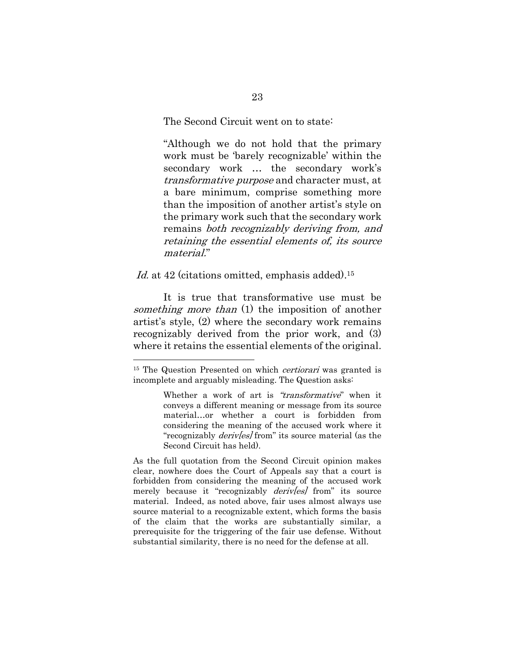The Second Circuit went on to state:

"Although we do not hold that the primary work must be 'barely recognizable' within the secondary work … the secondary work's transformative purpose and character must, at a bare minimum, comprise something more than the imposition of another artist's style on the primary work such that the secondary work remains both recognizably deriving from, and retaining the essential elements of, its source material."

Id. at 42 (citations omitted, emphasis added).<sup>15</sup>

It is true that transformative use must be something more than (1) the imposition of another artist's style, (2) where the secondary work remains recognizably derived from the prior work, and (3) where it retains the essential elements of the original.

<sup>&</sup>lt;sup>15</sup> The Question Presented on which *certiorari* was granted is incomplete and arguably misleading. The Question asks:

Whether a work of art is "transformative" when it conveys a different meaning or message from its source material…or whether a court is forbidden from considering the meaning of the accused work where it "recognizably *derivles* from" its source material (as the Second Circuit has held).

As the full quotation from the Second Circuit opinion makes clear, nowhere does the Court of Appeals say that a court is forbidden from considering the meaning of the accused work merely because it "recognizably *derives* from" its source material. Indeed, as noted above, fair uses almost always use source material to a recognizable extent, which forms the basis of the claim that the works are substantially similar, a prerequisite for the triggering of the fair use defense. Without substantial similarity, there is no need for the defense at all.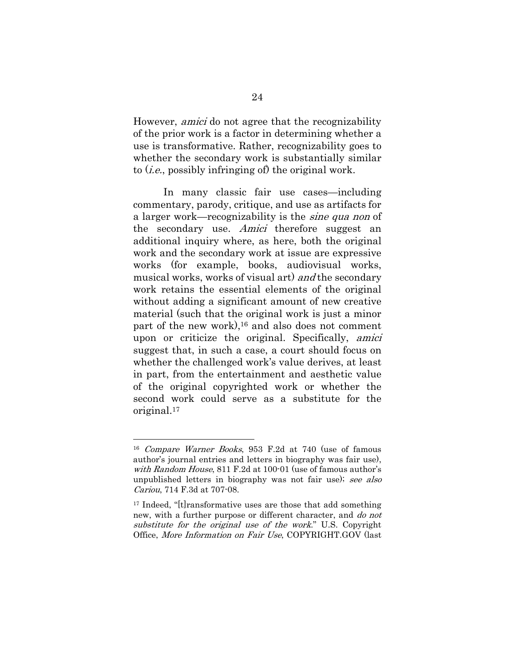However, amici do not agree that the recognizability of the prior work is a factor in determining whether a use is transformative. Rather, recognizability goes to whether the secondary work is substantially similar to (i.e., possibly infringing of) the original work.

In many classic fair use cases—including commentary, parody, critique, and use as artifacts for a larger work—recognizability is the *sine qua non* of the secondary use. Amici therefore suggest an additional inquiry where, as here, both the original work and the secondary work at issue are expressive works (for example, books, audiovisual works, musical works, works of visual art) and the secondary work retains the essential elements of the original without adding a significant amount of new creative material (such that the original work is just a minor part of the new work),16 and also does not comment upon or criticize the original. Specifically, amici suggest that, in such a case, a court should focus on whether the challenged work's value derives, at least in part, from the entertainment and aesthetic value of the original copyrighted work or whether the second work could serve as a substitute for the original.17

<sup>16</sup> Compare Warner Books, 953 F.2d at 740 (use of famous author's journal entries and letters in biography was fair use), with Random House, 811 F.2d at 100-01 (use of famous author's unpublished letters in biography was not fair use); see also Cariou, 714 F.3d at 707-08.

<sup>17</sup> Indeed, "[t]ransformative uses are those that add something new, with a further purpose or different character, and *do not* substitute for the original use of the work." U.S. Copyright Office, More Information on Fair Use, COPYRIGHT.GOV (last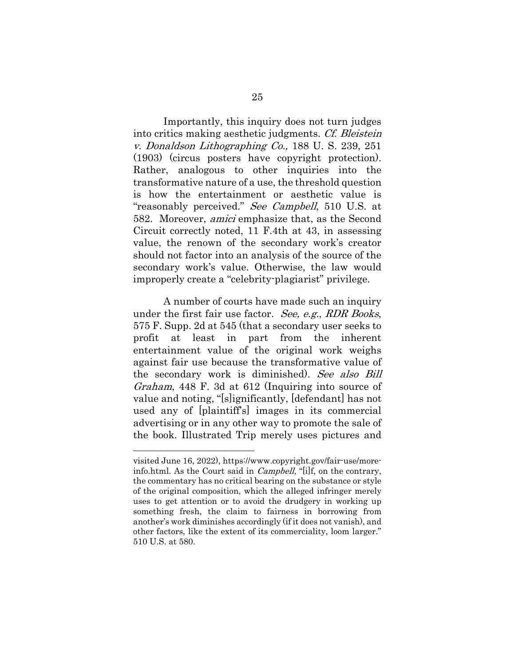Importantly, this inquiry does not turn judges into critics making aesthetic judgments. Cf. Bleistein v. Donaldson Lithographing Co., 188 U. S. 239, 251 (1903) (circus posters have copyright protection). Rather, analogous to other inquiries into the transformative nature of a use, the threshold question is how the entertainment or aesthetic value is "reasonably perceived." See Campbell, 510 U.S. at 582. Moreover, amici emphasize that, as the Second Circuit correctly noted, 11 F.4th at 43, in assessing value, the renown of the secondary work's creator should not factor into an analysis of the source of the secondary work's value. Otherwise, the law would improperly create a "celebrity-plagiarist" privilege.

A number of courts have made such an inquiry under the first fair use factor. See, e.g., RDR Books, 575 F. Supp. 2d at 545 (that a secondary user seeks to profit at least in part from the inherent entertainment value of the original work weighs against fair use because the transformative value of the secondary work is diminished). See also Bill Graham, 448 F. 3d at 612 (Inquiring into source of value and noting, "[s]ignificantly, [defendant] has not used any of [plaintiff's] images in its commercial advertising or in any other way to promote the sale of the book. Illustrated Trip merely uses pictures and

visited June 16, 2022), https://www.copyright.gov/fair-use/moreinfo.html. As the Court said in Campbell, "[i]f, on the contrary, the commentary has no critical bearing on the substance or style of the original composition, which the alleged infringer merely uses to get attention or to avoid the drudgery in working up something fresh, the claim to fairness in borrowing from another's work diminishes accordingly (if it does not vanish), and other factors, like the extent of its commerciality, loom larger." 510 U.S. at 580.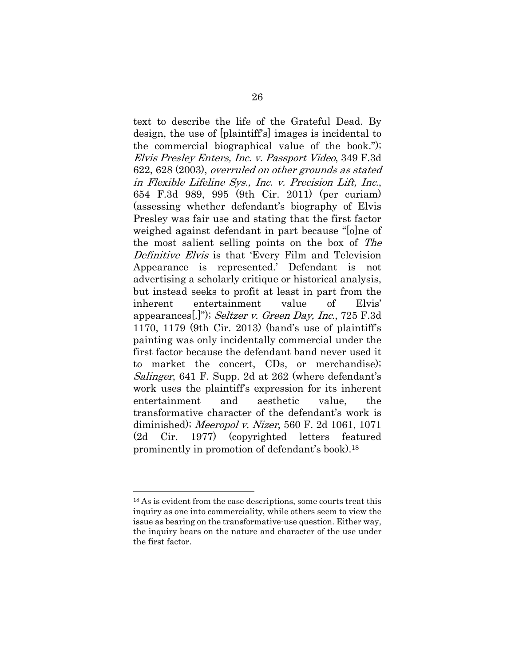text to describe the life of the Grateful Dead. By design, the use of [plaintiff's] images is incidental to the commercial biographical value of the book."); Elvis Presley Enters, Inc. v. Passport Video, 349 F.3d 622, 628 (2003), overruled on other grounds as stated in Flexible Lifeline Sys., Inc. v. Precision Lift, Inc., 654 F.3d 989, 995 (9th Cir. 2011) (per curiam) (assessing whether defendant's biography of Elvis Presley was fair use and stating that the first factor weighed against defendant in part because "[o]ne of the most salient selling points on the box of The Definitive Elvis is that 'Every Film and Television Appearance is represented.' Defendant is not advertising a scholarly critique or historical analysis, but instead seeks to profit at least in part from the inherent entertainment value of Elvis' appearances[.]"); Seltzer v. Green Day, Inc., 725 F.3d 1170, 1179 (9th Cir. 2013) (band's use of plaintiff's painting was only incidentally commercial under the first factor because the defendant band never used it to market the concert, CDs, or merchandise); Salinger, 641 F. Supp. 2d at 262 (where defendant's work uses the plaintiff's expression for its inherent entertainment and aesthetic value, the transformative character of the defendant's work is diminished); Meeropol v. Nizer, 560 F. 2d 1061, 1071 (2d Cir. 1977) (copyrighted letters featured prominently in promotion of defendant's book).18

<sup>&</sup>lt;sup>18</sup> As is evident from the case descriptions, some courts treat this inquiry as one into commerciality, while others seem to view the issue as bearing on the transformative-use question. Either way, the inquiry bears on the nature and character of the use under the first factor.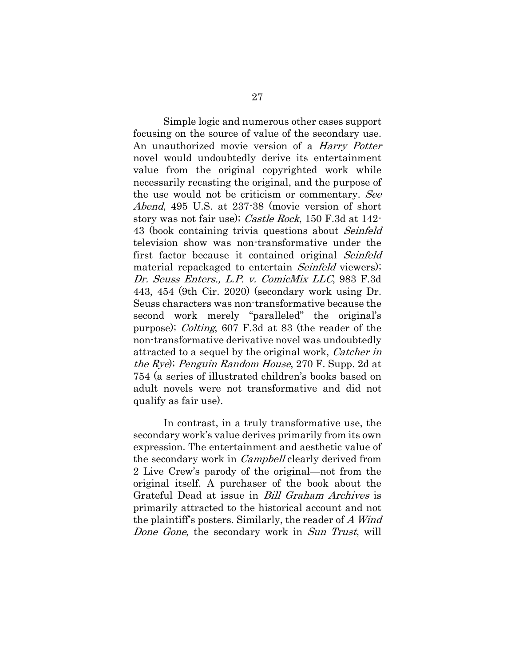Simple logic and numerous other cases support focusing on the source of value of the secondary use. An unauthorized movie version of a *Harry Potter* novel would undoubtedly derive its entertainment value from the original copyrighted work while necessarily recasting the original, and the purpose of the use would not be criticism or commentary. See Abend, 495 U.S. at 237-38 (movie version of short story was not fair use); Castle Rock, 150 F.3d at 142- 43 (book containing trivia questions about Seinfeld television show was non-transformative under the first factor because it contained original Seinfeld material repackaged to entertain *Seinfeld* viewers); Dr. Seuss Enters., L.P. v. ComicMix LLC, 983 F.3d 443, 454 (9th Cir. 2020) (secondary work using Dr. Seuss characters was non-transformative because the second work merely "paralleled" the original's purpose); Colting, 607 F.3d at 83 (the reader of the non-transformative derivative novel was undoubtedly attracted to a sequel by the original work, *Catcher in* the Rye); Penguin Random House, 270 F. Supp. 2d at 754 (a series of illustrated children's books based on adult novels were not transformative and did not qualify as fair use).

In contrast, in a truly transformative use, the secondary work's value derives primarily from its own expression. The entertainment and aesthetic value of the secondary work in *Campbell* clearly derived from 2 Live Crew's parody of the original—not from the original itself. A purchaser of the book about the Grateful Dead at issue in Bill Graham Archives is primarily attracted to the historical account and not the plaintiff's posters. Similarly, the reader of A Wind Done Gone, the secondary work in Sun Trust, will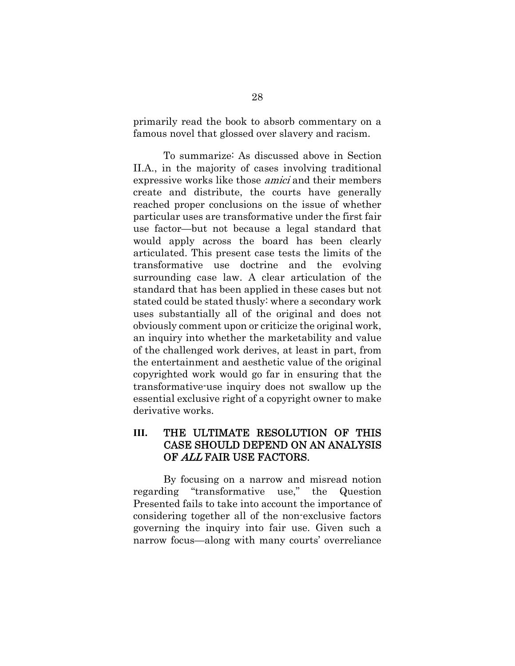primarily read the book to absorb commentary on a famous novel that glossed over slavery and racism.

To summarize: As discussed above in Section II.A., in the majority of cases involving traditional expressive works like those amici and their members create and distribute, the courts have generally reached proper conclusions on the issue of whether particular uses are transformative under the first fair use factor—but not because a legal standard that would apply across the board has been clearly articulated. This present case tests the limits of the transformative use doctrine and the evolving surrounding case law. A clear articulation of the standard that has been applied in these cases but not stated could be stated thusly: where a secondary work uses substantially all of the original and does not obviously comment upon or criticize the original work, an inquiry into whether the marketability and value of the challenged work derives, at least in part, from the entertainment and aesthetic value of the original copyrighted work would go far in ensuring that the transformative-use inquiry does not swallow up the essential exclusive right of a copyright owner to make derivative works.

### **III.** THE ULTIMATE RESOLUTION OF THIS CASE SHOULD DEPEND ON AN ANALYSIS OF ALL FAIR USE FACTORS.

By focusing on a narrow and misread notion regarding "transformative use," the Question Presented fails to take into account the importance of considering together all of the non-exclusive factors governing the inquiry into fair use. Given such a narrow focus—along with many courts' overreliance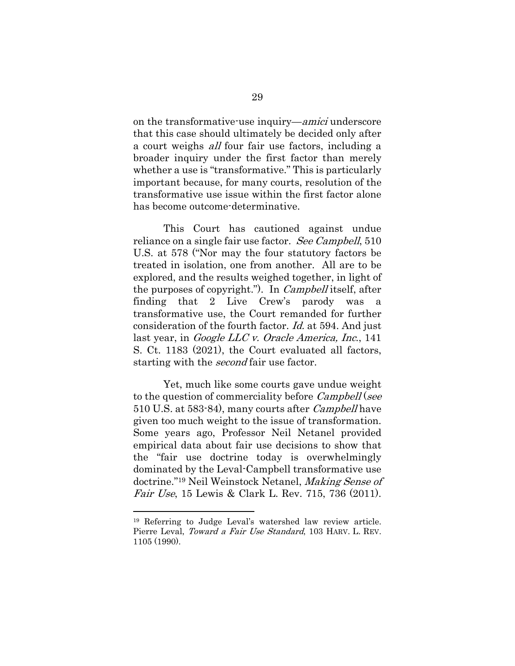on the transformative-use inquiry—*amici* underscore that this case should ultimately be decided only after a court weighs all four fair use factors, including a broader inquiry under the first factor than merely whether a use is "transformative." This is particularly important because, for many courts, resolution of the transformative use issue within the first factor alone has become outcome-determinative.

This Court has cautioned against undue reliance on a single fair use factor. See Campbell, 510 U.S. at 578 ("Nor may the four statutory factors be treated in isolation, one from another. All are to be explored, and the results weighed together, in light of the purposes of copyright."). In Campbell itself, after finding that 2 Live Crew's parody was a transformative use, the Court remanded for further consideration of the fourth factor. Id. at 594. And just last year, in Google LLC v. Oracle America, Inc., 141 S. Ct. 1183 (2021), the Court evaluated all factors, starting with the *second* fair use factor.

Yet, much like some courts gave undue weight to the question of commerciality before *Campbell* (see 510 U.S. at 583-84), many courts after Campbell have given too much weight to the issue of transformation. Some years ago, Professor Neil Netanel provided empirical data about fair use decisions to show that the "fair use doctrine today is overwhelmingly dominated by the Leval-Campbell transformative use doctrine."<sup>19</sup> Neil Weinstock Netanel, Making Sense of Fair Use, 15 Lewis & Clark L. Rev. 715, 736 (2011).

<sup>19</sup> Referring to Judge Leval's watershed law review article. Pierre Leval, Toward a Fair Use Standard, 103 HARV. L. REV. 1105 (1990).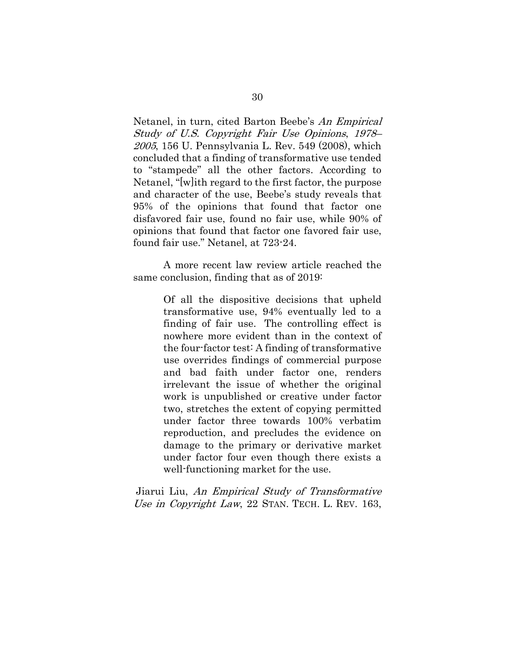Netanel, in turn, cited Barton Beebe's An Empirical Study of U.S. Copyright Fair Use Opinions, 1978– 2005, 156 U. Pennsylvania L. Rev. 549 (2008), which concluded that a finding of transformative use tended to "stampede" all the other factors. According to Netanel, "[w]ith regard to the first factor, the purpose and character of the use, Beebe's study reveals that 95% of the opinions that found that factor one disfavored fair use, found no fair use, while 90% of opinions that found that factor one favored fair use, found fair use." Netanel, at 723-24.

A more recent law review article reached the same conclusion, finding that as of 2019:

> Of all the dispositive decisions that upheld transformative use, 94% eventually led to a finding of fair use. The controlling effect is nowhere more evident than in the context of the four-factor test: A finding of transformative use overrides findings of commercial purpose and bad faith under factor one, renders irrelevant the issue of whether the original work is unpublished or creative under factor two, stretches the extent of copying permitted under factor three towards 100% verbatim reproduction, and precludes the evidence on damage to the primary or derivative market under factor four even though there exists a well-functioning market for the use.

 Jiarui Liu, An Empirical Study of Transformative Use in Copyright Law, 22 STAN. TECH. L. REV. 163,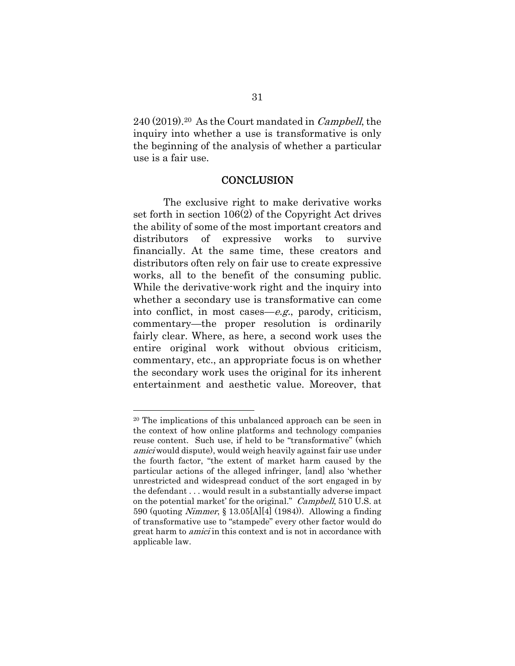240 (2019).20 As the Court mandated in Campbell, the inquiry into whether a use is transformative is only the beginning of the analysis of whether a particular use is a fair use.

#### **CONCLUSION**

The exclusive right to make derivative works set forth in section 106(2) of the Copyright Act drives the ability of some of the most important creators and distributors of expressive works to survive financially. At the same time, these creators and distributors often rely on fair use to create expressive works, all to the benefit of the consuming public. While the derivative-work right and the inquiry into whether a secondary use is transformative can come into conflict, in most cases—e.g., parody, criticism, commentary—the proper resolution is ordinarily fairly clear. Where, as here, a second work uses the entire original work without obvious criticism, commentary, etc., an appropriate focus is on whether the secondary work uses the original for its inherent entertainment and aesthetic value. Moreover, that

<sup>20</sup> The implications of this unbalanced approach can be seen in the context of how online platforms and technology companies reuse content. Such use, if held to be "transformative" (which amici would dispute), would weigh heavily against fair use under the fourth factor, "the extent of market harm caused by the particular actions of the alleged infringer, [and] also 'whether unrestricted and widespread conduct of the sort engaged in by the defendant . . . would result in a substantially adverse impact on the potential market' for the original." Campbell, 510 U.S. at 590 (quoting Nimmer, § 13.05[A][4] (1984)). Allowing a finding of transformative use to "stampede" every other factor would do great harm to *amici* in this context and is not in accordance with applicable law.